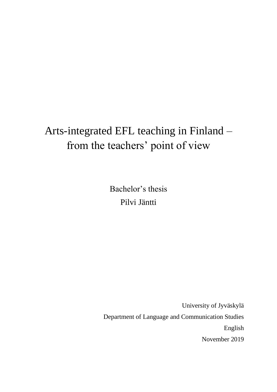# Arts-integrated EFL teaching in Finland – from the teachers' point of view

Bachelor's thesis Pilvi Jäntti

University of Jyväskylä Department of Language and Communication Studies English November 2019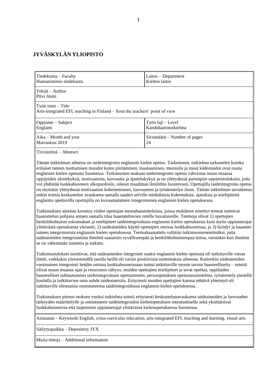# **JYVÄSKYLÄN YLIOPISTO**

| Tiedekunta - Faculty<br>Humanistinen tiedekunta                                                                                                                                                                                                                                                                                                                                                                                                                                                                                                                                                                                                                                                                                                                                                                                                                                                                                                                                                                                                                                                                                                                                                                                                                                                                                                                                                                                                                                                                                                                                                                                                                                      | Laitos - Department<br>Kielten laitos     |  |  |
|--------------------------------------------------------------------------------------------------------------------------------------------------------------------------------------------------------------------------------------------------------------------------------------------------------------------------------------------------------------------------------------------------------------------------------------------------------------------------------------------------------------------------------------------------------------------------------------------------------------------------------------------------------------------------------------------------------------------------------------------------------------------------------------------------------------------------------------------------------------------------------------------------------------------------------------------------------------------------------------------------------------------------------------------------------------------------------------------------------------------------------------------------------------------------------------------------------------------------------------------------------------------------------------------------------------------------------------------------------------------------------------------------------------------------------------------------------------------------------------------------------------------------------------------------------------------------------------------------------------------------------------------------------------------------------------|-------------------------------------------|--|--|
| Tekijä – Author<br>Pilvi Jäntti                                                                                                                                                                                                                                                                                                                                                                                                                                                                                                                                                                                                                                                                                                                                                                                                                                                                                                                                                                                                                                                                                                                                                                                                                                                                                                                                                                                                                                                                                                                                                                                                                                                      |                                           |  |  |
| Työn nimi - Title<br>Arts-integrated EFL teaching in Finland – from the teachers' point of view                                                                                                                                                                                                                                                                                                                                                                                                                                                                                                                                                                                                                                                                                                                                                                                                                                                                                                                                                                                                                                                                                                                                                                                                                                                                                                                                                                                                                                                                                                                                                                                      |                                           |  |  |
| Oppiaine - Subject<br>Englanti                                                                                                                                                                                                                                                                                                                                                                                                                                                                                                                                                                                                                                                                                                                                                                                                                                                                                                                                                                                                                                                                                                                                                                                                                                                                                                                                                                                                                                                                                                                                                                                                                                                       | Työn laji - Level<br>Kandidaatintutkielma |  |  |
| Aika – Month and year<br>Marraskuu 2019                                                                                                                                                                                                                                                                                                                                                                                                                                                                                                                                                                                                                                                                                                                                                                                                                                                                                                                                                                                                                                                                                                                                                                                                                                                                                                                                                                                                                                                                                                                                                                                                                                              | Sivumäärä – Number of pages<br>24         |  |  |
| Tiivistelmä - Abstract                                                                                                                                                                                                                                                                                                                                                                                                                                                                                                                                                                                                                                                                                                                                                                                                                                                                                                                                                                                                                                                                                                                                                                                                                                                                                                                                                                                                                                                                                                                                                                                                                                                               |                                           |  |  |
| Tämän tutkielman aiheena on taideintegroitu englannin kielen opetus. Tarkemmin, tutkielma tarkastelee kuinka<br>erilaiset taiteen tuottamisen muodot kuten piirtäminen, maalaaminen, muotoilu ja muut kädentaidot ovat osana<br>englannin kielen opetusta Suomessa. Tutkimusten mukaan taideintegroitu opetus vahvistaa muun muassa<br>oppijoiden aloitekykyä, motivaatiota, luovuutta ja ajattelukykyä ja on yhteydessä parempiin oppimistuloksiin, joita<br>voi yhdistää luokkahuoneen ulkopuolisiin, oikean maailman ilmiöihin luontevasti. Opettajilla taideintegroitu opetus<br>on myöskin yhteydessä motivaation kohenemiseen, luovuuteen ja työskentelyn iloon. Tämän tutkielman tavoitteena<br>onkin toimia keskustelun avauksena samalla saaden selville minkälaisia kokemuksia, ajatuksia ja mielipiteitä<br>englantia opettavilla opettajilla on kuvaamataiteen integroinnista englannin kielen opetuksessa.<br>Tutkimuksen aineisto koostuu viiden opettajan teemahaastatteluista, joissa etukäteen mietityt teemat toimivat<br>haastattelun pohjana antaen samalla tilaa haastateltavien omille havainnoille. Teemoja olivat 1) opettajien<br>henkilökohtaiset uskomukset ja mielipiteet taideintegroidusta englannin kielen opetuksesta kuin myös oppiainerajat<br>ylittävästä opetuksesta yleisesti, 2) taideaineiden käyttö opettajien omissa luokkahuoneissa, ja 3) hyödyt ja haasteet<br>taiteen integroinnista englannin kielen opetuksessa. Teemahaastattelu valittiin tutkimusmenetelmäksi, jotta<br>taideaineiden integroinnista ilmiönä saataisiin syvällisempää ja henkilökohtaisempaa tietoa, varsinkin kun ilmiönä<br>se on vähemmän tunnettu ja tutkittu. |                                           |  |  |
| Tutkimustulokset osoittivat, että taideaineiden integrointi osaksi englannin kielen opetusta oli tutkittaville vieras<br>ilmiö, vaikkakin yleisemmällä tasolla heillä oli varsin positiivisia tuntemuksia aiheesta. Kuitenkin taideaineiden<br>varsinainen integrointi heidän omissa luokkahuoneissaan tuntui tutkittaville monin tavoin haasteelliselta – esteitä<br>olivat muun muassa ajan ja resurssien vähyys, muiden opettajien mielipiteet ja tavat opettaa, oppilaiden<br>haasteelliset suhtautumiset taideintegroituun opettamiseen, perusopetuksen opetussuunnitelma, työskentely pienellä<br>koululla ja tutkittavien oma suhde taideaineisiin. Erityisesti muiden opettajien kanssa tehtävä yhteistyö oli<br>tutkittaville olennaista onnistuneessa taideintegroidussa englannin kielen opetuksessa.                                                                                                                                                                                                                                                                                                                                                                                                                                                                                                                                                                                                                                                                                                                                                                                                                                                                     |                                           |  |  |
| Tutkimuksen pienen otoksen vuoksi tutkielma toimii erityisesti keskustelunavauksena taideaineiden ja luovuuden<br>tärkeyden määrittelylle ja onnistuneen taideintegroidun kielenopetuksen toteutumiselle sekä yksittäisissä<br>luokkahuoneissa että laajemmin oppiainerajat ylittävässä kielenopetuksessa Suomessa.                                                                                                                                                                                                                                                                                                                                                                                                                                                                                                                                                                                                                                                                                                                                                                                                                                                                                                                                                                                                                                                                                                                                                                                                                                                                                                                                                                  |                                           |  |  |
| Asiasanat – Keywords English, cross-curricular education, arts-integrated EFL teaching and learning, visual arts                                                                                                                                                                                                                                                                                                                                                                                                                                                                                                                                                                                                                                                                                                                                                                                                                                                                                                                                                                                                                                                                                                                                                                                                                                                                                                                                                                                                                                                                                                                                                                     |                                           |  |  |
| Säilytyspaikka – Depository JYX                                                                                                                                                                                                                                                                                                                                                                                                                                                                                                                                                                                                                                                                                                                                                                                                                                                                                                                                                                                                                                                                                                                                                                                                                                                                                                                                                                                                                                                                                                                                                                                                                                                      |                                           |  |  |
| Muita tietoja – Additional information                                                                                                                                                                                                                                                                                                                                                                                                                                                                                                                                                                                                                                                                                                                                                                                                                                                                                                                                                                                                                                                                                                                                                                                                                                                                                                                                                                                                                                                                                                                                                                                                                                               |                                           |  |  |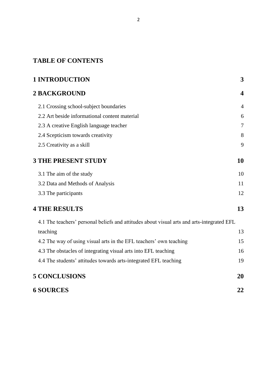# **TABLE OF CONTENTS**

| <b>1 INTRODUCTION</b>                                                                      | 3              |
|--------------------------------------------------------------------------------------------|----------------|
| <b>2 BACKGROUND</b>                                                                        | 4              |
| 2.1 Crossing school-subject boundaries                                                     | $\overline{4}$ |
| 2.2 Art beside informational content material                                              | 6              |
| 2.3 A creative English language teacher                                                    | 7              |
| 2.4 Scepticism towards creativity                                                          | 8              |
| 2.5 Creativity as a skill                                                                  | 9              |
| <b>3 THE PRESENT STUDY</b>                                                                 | 10             |
| 3.1 The aim of the study                                                                   | 10             |
| 3.2 Data and Methods of Analysis                                                           | 11             |
| 3.3 The participants                                                                       | 12             |
| <b>4 THE RESULTS</b>                                                                       | 13             |
| 4.1 The teachers' personal beliefs and attitudes about visual arts and arts-integrated EFL |                |
| teaching                                                                                   | 13             |
| 4.2 The way of using visual arts in the EFL teachers' own teaching                         | 15             |
| 4.3 The obstacles of integrating visual arts into EFL teaching                             | 16             |
| 4.4 The students' attitudes towards arts-integrated EFL teaching                           | 19             |
| <b>5 CONCLUSIONS</b>                                                                       | 20             |
| <b>6 SOURCES</b>                                                                           | 22             |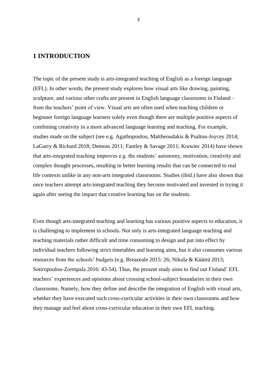# <span id="page-3-0"></span>**1 INTRODUCTION**

The topic of the present study is arts-integrated teaching of English as a foreign language (EFL). In other words, the present study explores how visual arts like drawing, painting, sculpture, and various other crafts are present in English language classrooms in Finland – from the teachers' point of view. Visual arts are often used when teaching children or beginner foreign language learners solely even though there are multiple positive aspects of combining creativity in a more advanced language learning and teaching. For example, studies made on the subject (see e.g. Agathopoulou, Mattheoudakis & Psaltou-Joycey 2014; LaGarry & Richard 2018; Demoss 2011; Fautley & Savage 2011; Krawiec 2014) have shown that arts-integrated teaching improves e.g. the students' autonomy, motivation, creativity and complex thought processes, resulting in better learning results that can be connected to real life contexts unlike in any non-arts integrated classrooms. Studies (ibid.) have also shown that once teachers attempt arts-integrated teaching they become motivated and invested in trying it again after seeing the impact that creative learning has on the students.

Even though arts-integrated teaching and learning has various positive aspects to education, it is challenging to implement in schools. Not only is arts-integrated language teaching and teaching materials rather difficult and time consuming to design and put into effect by individual teachers following strict timetables and learning aims, but it also consumes various resources from the schools' budgets (e.g. Breazeale 2015: 26; Nikula & Kääntä 2013; Sotiropoulou-Zormpala 2016: 43-54). Thus, the present study aims to find out Finland' EFL teachers' experiences and opinions about crossing school-subject boundaries in their own classrooms. Namely, how they define and describe the integration of English with visual arts, whether they have executed such cross-curricular activities in their own classrooms and how they manage and feel about cross-curricular education in their own EFL teaching.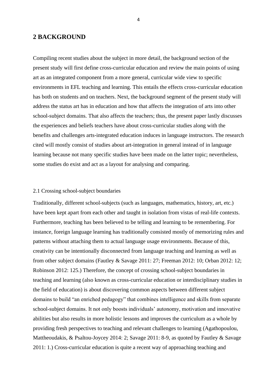# <span id="page-4-0"></span>**2 BACKGROUND**

Compiling recent studies about the subject in more detail, the background section of the present study will first define cross-curricular education and review the main points of using art as an integrated component from a more general, curricular wide view to specific environments in EFL teaching and learning. This entails the effects cross-curricular education has both on students and on teachers. Next, the background segment of the present study will address the status art has in education and how that affects the integration of arts into other school-subject domains. That also affects the teachers; thus, the present paper lastly discusses the experiences and beliefs teachers have about cross-curricular studies along with the benefits and challenges arts-integrated education induces in language instructors. The research cited will mostly consist of studies about art-integration in general instead of in language learning because not many specific studies have been made on the latter topic; nevertheless, some studies do exist and act as a layout for analysing and comparing.

## <span id="page-4-1"></span>2.1 Crossing school-subject boundaries

Traditionally, different school-subjects (such as languages, mathematics, history, art, etc.) have been kept apart from each other and taught in isolation from vistas of real-life contexts. Furthermore, teaching has been believed to be telling and learning to be remembering. For instance, foreign language learning has traditionally consisted mostly of memorizing rules and patterns without attaching them to actual language usage environments. Because of this, creativity can be intentionally disconnected from language teaching and learning as well as from other subject domains (Fautley & Savage 2011: 27; Freeman 2012: 10; Orban 2012: 12; Robinson 2012: 125.) Therefore, the concept of crossing school-subject boundaries in teaching and learning (also known as cross-curricular education or interdisciplinary studies in the field of education) is about discovering common aspects between different subject domains to build "an enriched pedagogy" that combines intelligence and skills from separate school-subject domains. It not only boosts individuals' autonomy, motivation and innovative abilities but also results in more holistic lessons and improves the curriculum as a whole by providing fresh perspectives to teaching and relevant challenges to learning (Agathopoulou, Mattheoudakis, & Psaltou-Joycey 2014: 2; Savage 2011: 8-9, as quoted by Fautley & Savage 2011: 1.) Cross-curricular education is quite a recent way of approaching teaching and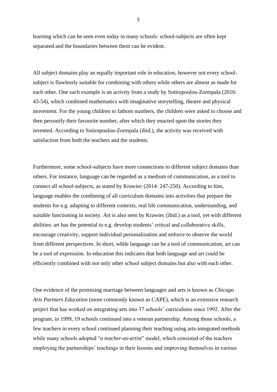learning which can be seen even today in many schools: school-subjects are often kept separated and the boundaries between them can be evident.

All subject domains play an equally important role in education, however not every schoolsubject is flawlessly suitable for combining with others while others are almost as made for each other. One such example is an activity from a study by Sotiropoulou-Zormpala (2016: 43-54), which combined mathematics with imaginative storytelling, theatre and physical movement. For the young children to fathom numbers, the children were asked to choose and then personify their favourite number, after which they enacted upon the stories they invented. According to Sotiropoulou-Zormpala (ibid.), the activity was received with satisfaction from both the teachers and the students.

Furthermore, some school-subjects have more connections to different subject domains than others. For instance, language can be regarded as a medium of communication, as a tool to connect all school-subjects, as stated by Krawiec (2014: 247-250). According to him, language enables the combining of all curriculum domains into activities that prepare the students for e.g. adapting to different contexts, real life communication, understanding, and suitable functioning in society. Art is also seen by Krawiec (ibid.) as a tool, yet with different abilities: art has the potential to e.g. develop students' critical and collaborative skills, encourage creativity, support individual personalization and enforce to observe the world from different perspectives. In short, while language can be a tool of communication, art can be a tool of expression. In education this indicates that both language and art could be efficiently combined with not only other school subject domains but also with each other.

One evidence of the promising marriage between languages and arts is known as *Chicago Arts Partners Education* (more commonly known as CAPE), which is an extensive research project that has worked on integrating arts into 37 schools' curriculums since 1992. After the program, in 1999, 19 schools continued into a veteran partnership. Among those schools, a few teachers in every school continued planning their teaching using arts-integrated methods while many schools adopted "*a teacher-as-artist*" model, which consisted of the teachers employing the partnerships' teachings in their lessons and improving themselves in various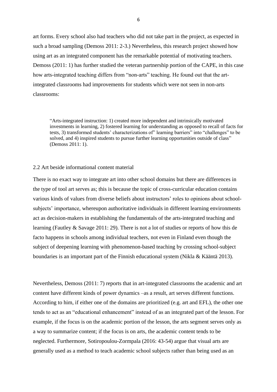art forms. Every school also had teachers who did not take part in the project, as expected in such a broad sampling (Demoss 2011: 2-3.) Nevertheless, this research project showed how using art as an integrated component has the remarkable potential of motivating teachers. Demoss (2011: 1) has further studied the veteran partnership portion of the CAPE, in this case how arts-integrated teaching differs from "non-arts" teaching. He found out that the artintegrated classrooms had improvements for students which were not seen in non-arts classrooms:

"Arts-integrated instruction: 1) created more independent and intrinsically motivated investments in learning, 2) fostered learning for understanding as opposed to recall of facts for tests, 3) transformed students' characterizations of" learning barriers" into "challenges" to be solved, and 4) inspired students to pursue further learning opportunities outside of class" (Demoss 2011: 1).

## <span id="page-6-0"></span>2.2 Art beside informational content material

There is no exact way to integrate art into other school domains but there are differences in the type of tool art serves as; this is because the topic of cross-curricular education contains various kinds of values from diverse beliefs about instructors' roles to opinions about schoolsubjects' importance, whereupon authoritative individuals in different learning environments act as decision-makers in establishing the fundamentals of the arts-integrated teaching and learning (Fautley & Savage 2011: 29). There is not a lot of studies or reports of how this de facto happens in schools among individual teachers, not even in Finland even though the subject of deepening learning with phenomenon-based teaching by crossing school-subject boundaries is an important part of the Finnish educational system (Nikla & Kääntä 2013).

Nevertheless, Demoss (2011: 7) reports that in art-integrated classrooms the academic and art content have different kinds of power dynamics –as a result, art serves different functions. According to him, if either one of the domains are prioritized (e.g. art and EFL), the other one tends to act as an "educational enhancement" instead of as an integrated part of the lesson. For example, if the focus is on the academic portion of the lesson, the arts segment serves only as a way to summarize content; if the focus is on arts, the academic content tends to be neglected. Furthermore, Sotiropoulou-Zormpala (2016: 43-54) argue that visual arts are generally used as a method to teach academic school subjects rather than being used as an

6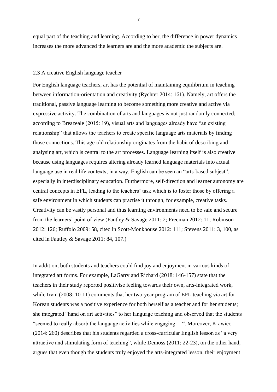equal part of the teaching and learning. According to her, the difference in power dynamics increases the more advanced the learners are and the more academic the subjects are.

#### <span id="page-7-0"></span>2.3 A creative English language teacher

For English language teachers, art has the potential of maintaining equilibrium in teaching between information-orientation and creativity (Rychter 2014: 161). Namely, art offers the traditional, passive language learning to become something more creative and active via expressive activity. The combination of arts and languages is not just randomly connected; according to Breazeale (2015: 19), visual arts and languages already have "an existing relationship" that allows the teachers to create specific language arts materials by finding those connections. This age-old relationship originates from the habit of describing and analysing art, which is central to the art processes. Language learning itself is also creative because using languages requires altering already learned language materials into actual language use in real life contexts; in a way, English can be seen an "arts-based subject", especially in interdisciplinary education. Furthermore, self-direction and learner autonomy are central concepts in EFL, leading to the teachers' task which is to foster those by offering a safe environment in which students can practise it through, for example, creative tasks. Creativity can be vastly personal and thus learning environments need to be safe and secure from the learners' point of view (Fautley & Savage 2011: 2; Freeman 2012: 11; Robinson 2012: 126; Ruffolo 2009: 58, cited in Scott-Monkhouse 2012: 111; Stevens 2011: 3, 100, as cited in Fautley & Savage 2011: 84, 107.)

In addition, both students and teachers could find joy and enjoyment in various kinds of integrated art forms. For example, LaGarry and Richard (2018: 146-157) state that the teachers in their study reported positivise feeling towards their own, arts-integrated work, while Irvin (2008: 10-11) comments that her two-year program of EFL teaching via art for Korean students was a positive experience for both herself as a teacher and for her students; she integrated "hand on art activities" to her language teaching and observed that the students "seemed to really absorb the language activities while engaging— ". Moreover, Krawiec (2014: 260) describes that his students regarded a cross-curricular English lesson as "a very attractive and stimulating form of teaching", while Demoss (2011: 22-23), on the other hand, argues that even though the students truly enjoyed the arts-integrated lesson, their enjoyment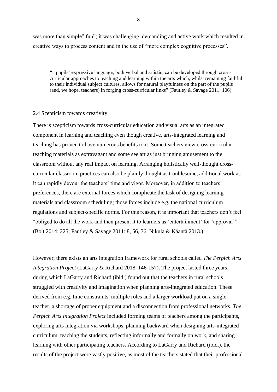was more than simple" fun"; it was challenging, demanding and active work which resulted in creative ways to process content and in the use of "more complex cognitive processes".

"– pupils' expressive language, both verbal and artistic, can be developed through crosscurricular approaches to teaching and learning within the arts which, whilst remaining faithful to their individual subject cultures, allows for natural playfulness on the part of the pupils (and, we hope, teachers) in forging cross-curricular links" (Fautley & Savage 2011: 106).

#### <span id="page-8-0"></span>2.4 Scepticism towards creativity

There is scepticism towards cross-curricular education and visual arts as an integrated component in learning and teaching even though creative, arts-integrated learning and teaching has proven to have numerous benefits to it. Some teachers view cross-curricular teaching materials as extravagant and some see art as just bringing amusement to the classroom without any real impact on learning. Arranging holistically well-thought crosscurricular classroom practices can also be plainly thought as troublesome, additional work as it can rapidly devour the teachers' time and vigor. Moreover, in addition to teachers' preferences, there are external forces which complicate the task of designing learning materials and classroom scheduling; those forces include e.g. the national curriculum regulations and subject-specific norms. For this reason, it is important that teachers don't feel "obliged to do all the work and then present it to learners as 'entertainment' for 'approval'" (Bolt 2014: 225; Fautley & Savage 2011: 8, 56, 76; Nikula & Kääntä 2013.)

However, there exists an arts integration framework for rural schools called *The Perpich Arts Integration Project* (LaGarry & Richard 2018: 146-157). The project lasted three years, during which LaGarry and Richard (ibid.) found out that the teachers in rural schools struggled with creativity and imagination when planning arts-integrated education. These derived from e.g. time constraints, multiple roles and a larger workload put on a single teacher, a shortage of proper equipment and a disconnection from professional networks. *The Perpich Arts Integration Project* included forming teams of teachers among the participants, exploring arts integration via workshops, planning backward when designing arts-integrated curriculum, teaching the students, reflecting informally and formally on work, and sharing learning with other participating teachers. According to LaGarry and Richard (ibid.), the results of the project were vastly positive, as most of the teachers stated that their professional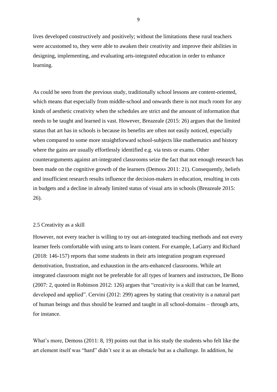lives developed constructively and positively; without the limitations these rural teachers were accustomed to, they were able to awaken their creativity and improve their abilities in designing, implementing, and evaluating arts-integrated education in order to enhance learning.

As could be seen from the previous study, traditionally school lessons are content-oriented, which means that especially from middle-school and onwards there is not much room for any kinds of aesthetic creativity when the schedules are strict and the amount of information that needs to be taught and learned is vast. However, Breazeale (2015: 26) argues that the limited status that art has in schools is because its benefits are often not easily noticed, especially when compared to some more straightforward school-subjects like mathematics and history where the gains are usually effortlessly identified e.g. via tests or exams. Other counterarguments against art-integrated classrooms seize the fact that not enough research has been made on the cognitive growth of the learners (Demoss 2011: 21). Consequently, beliefs and insufficient research results influence the decision-makers in education, resulting in cuts in budgets and a decline in already limited status of visual arts in schools (Breazeale 2015: 26).

## <span id="page-9-0"></span>2.5 Creativity as a skill

However, not every teacher is willing to try out art-integrated teaching methods and not every learner feels comfortable with using arts to learn content. For example, LaGarry and Richard (2018: 146-157) reports that some students in their arts integration program expressed demotivation, frustration, and exhaustion in the arts-enhanced classrooms. While art integrated classroom might not be preferable for all types of learners and instructors, De Bono (2007: 2, quoted in Robinson 2012: 126) argues that "creativity is a skill that can be learned, developed and applied". Cervini (2012: 299) agrees by stating that creativity is a natural part of human beings and thus should be learned and taught in all school-domains – through arts, for instance.

What's more, Demoss (2011: 8, 19) points out that in his study the students who felt like the art element itself was "hard" didn't see it as an obstacle but as a challenge. In addition, he

9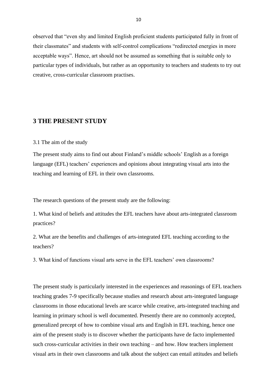observed that "even shy and limited English proficient students participated fully in front of their classmates" and students with self-control complications "redirected energies in more acceptable ways". Hence, art should not be assumed as something that is suitable only to particular types of individuals, but rather as an opportunity to teachers and students to try out creative, cross-curricular classroom practises.

# <span id="page-10-0"></span>**3 THE PRESENT STUDY**

#### <span id="page-10-1"></span>3.1 The aim of the study

The present study aims to find out about Finland's middle schools' English as a foreign language (EFL) teachers' experiences and opinions about integrating visual arts into the teaching and learning of EFL in their own classrooms.

The research questions of the present study are the following:

1. What kind of beliefs and attitudes the EFL teachers have about arts-integrated classroom practices?

2. What are the benefits and challenges of arts-integrated EFL teaching according to the teachers?

3. What kind of functions visual arts serve in the EFL teachers' own classrooms?

The present study is particularly interested in the experiences and reasonings of EFL teachers teaching grades 7-9 specifically because studies and research about arts-integrated language classrooms in those educational levels are scarce while creative, arts-integrated teaching and learning in primary school is well documented. Presently there are no commonly accepted, generalized precept of how to combine visual arts and English in EFL teaching, hence one aim of the present study is to discover whether the participants have de facto implemented such cross-curricular activities in their own teaching – and how. How teachers implement visual arts in their own classrooms and talk about the subject can entail attitudes and beliefs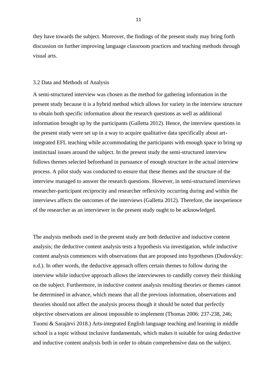they have towards the subject. Moreover, the findings of the present study may bring forth discussion on further improving language classroom practices and teaching methods through visual arts.

### <span id="page-11-0"></span>3.2 Data and Methods of Analysis

A semi-structured interview was chosen as the method for gathering information in the present study because it is a hybrid method which allows for variety in the interview structure to obtain both specific information about the research questions as well as additional information brought up by the participants (Galletta 2012). Hence, the interview questions in the present study were set up in a way to acquire qualitative data specifically about artintegrated EFL teaching while accommodating the participants with enough space to bring up instinctual issues around the subject. In the present study the semi-structured interview follows themes selected beforehand in pursuance of enough structure in the actual interview process. A pilot study was conducted to ensure that these themes and the structure of the interview managed to answer the research questions. However, in semi-structured interviews researcher-participant reciprocity and researcher reflexivity occurring during and within the interviews affects the outcomes of the interviews (Galletta 2012). Therefore, the inexperience of the researcher as an interviewer in the present study ought to be acknowledged.

The analysis methods used in the present study are both deductive and inductive content analysis; the deductive content analysis tests a hypothesis via investigation, while inductive content analysis commences with observations that are proposed into hypotheses (Dudovskiy: n.d.). In other words, the deductive approach offers certain themes to follow during the interview while inductive approach allows the interviewees to candidly convey their thinking on the subject. Furthermore, in inductive content analysis resulting theories or themes cannot be determined in advance, which means that all the previous information, observations and theories should not affect the analysis process though it should be noted that perfectly objective observations are almost impossible to implement (Thomas 2006: 237-238, 246; Tuomi & Sarajärvi 2018.) Arts-integrated English language teaching and learning in middle school is a topic without inclusive fundamentals, which makes it suitable for using deductive and inductive content analysis both in order to obtain comprehensive data on the subject.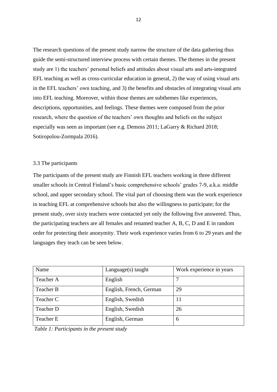The research questions of the present study narrow the structure of the data gathering thus guide the semi-structured interview process with certain themes. The themes in the present study are 1) the teachers' personal beliefs and attitudes about visual arts and arts-integrated EFL teaching as well as cross-curricular education in general, 2) the way of using visual arts in the EFL teachers' own teaching, and 3) the benefits and obstacles of integrating visual arts into EFL teaching. Moreover, within those themes are subthemes like experiences, descriptions, opportunities, and feelings. These themes were composed from the prior research, where the question of the teachers' own thoughts and beliefs on the subject especially was seen as important (see e.g. Demoss 2011; LaGarry & Richard 2018; Sotiropolou-Zormpala 2016).

# <span id="page-12-0"></span>3.3 The participants

The participants of the present study are Finnish EFL teachers working in three different smaller schools in Central Finland's basic comprehensive schools' grades 7-9, a.k.a. middle school, and upper secondary school. The vital part of choosing them was the work experience in teaching EFL at comprehensive schools but also the willingness to participate; for the present study, over sixty teachers were contacted yet only the following five answered. Thus, the participating teachers are all females and renamed teacher A, B, C, D and E in random order for protecting their anonymity. Their work experience varies from 6 to 29 years and the languages they teach can be seen below.

| Name      | $Language(s)$ taught    | Work experience in years |
|-----------|-------------------------|--------------------------|
| Teacher A | English                 |                          |
| Teacher B | English, French, German | 29                       |
| Teacher C | English, Swedish        | 11                       |
| Teacher D | English, Swedish        | 26                       |
| Teacher E | English, German         | 6                        |

*Table 1: Participants in the present study*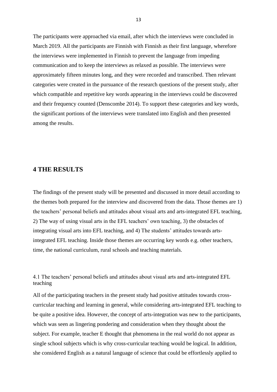The participants were approached via email, after which the interviews were concluded in March 2019. All the participants are Finnish with Finnish as their first language, wherefore the interviews were implemented in Finnish to prevent the language from impeding communication and to keep the interviews as relaxed as possible. The interviews were approximately fifteen minutes long, and they were recorded and transcribed. Then relevant categories were created in the pursuance of the research questions of the present study, after which compatible and repetitive key words appearing in the interviews could be discovered and their frequency counted (Denscombe 2014). To support these categories and key words, the significant portions of the interviews were translated into English and then presented among the results.

# <span id="page-13-0"></span>**4 THE RESULTS**

The findings of the present study will be presented and discussed in more detail according to the themes both prepared for the interview and discovered from the data. Those themes are 1) the teachers' personal beliefs and attitudes about visual arts and arts-integrated EFL teaching, 2) The way of using visual arts in the EFL teachers' own teaching, 3) the obstacles of integrating visual arts into EFL teaching, and 4) The students' attitudes towards artsintegrated EFL teaching. Inside those themes are occurring key words e.g. other teachers, time, the national curriculum, rural schools and teaching materials.

<span id="page-13-1"></span>4.1 The teachers' personal beliefs and attitudes about visual arts and arts-integrated EFL teaching

All of the participating teachers in the present study had positive attitudes towards crosscurricular teaching and learning in general, while considering arts-integrated EFL teaching to be quite a positive idea. However, the concept of arts-integration was new to the participants, which was seen as lingering pondering and consideration when they thought about the subject. For example, teacher E thought that phenomena in the real world do not appear as single school subjects which is why cross-curricular teaching would be logical. In addition, she considered English as a natural language of science that could be effortlessly applied to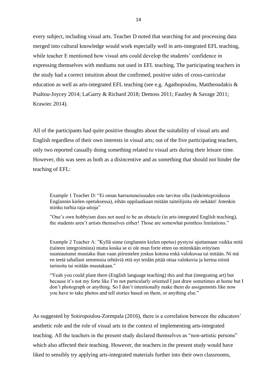every subject, including visual arts. Teacher D noted that searching for and processing data merged into cultural knowledge would work especially well in arts-integrated EFL teaching, while teacher E mentioned how visual arts could develop the students' confidence in expressing themselves with mediums not used in EFL teaching. The participating teachers in the study had a correct intuition about the confirmed, positive sides of cross-curricular education as well as arts-integrated EFL teaching (see e.g. Agathopoulou, Mattheoudakis & Psaltou-Joycey 2014; LaGarry & Richard 2018; Demoss 2011; Fautley & Savage 2011; Krawiec 2014).

All of the participants had quite positive thoughts about the suitability of visual arts and English regardless of their own interests in visual arts; out of the five participating teachers, only two reported casually doing something related to visual arts during their leisure time. However, this was seen as both as a disincentive and as something that should not hinder the teaching of EFL:

Example 1 Teacher D: "Ei oman harrastuneisuuden este tarvitse olla (taideintegroidussa Englannin kielen opetuksessa), eihän oppilaatkaan mitään taiteilijoita ole nekään! Jotenkin niinku turhia raja-aitoja"

"One's own hobbyism does not need to be an obstacle (in arts-integrated English teaching), the students aren't artists themselves either! Those are somewhat pointless limitations."

Example 2 Teacher A: "Kyllä sinne (englannin kielen opetus) pystyisi ujuttamaan vaikka mitä (taiteen integroimista) mutta koska se ei ole mun forte etten oo mitenkään erityisen suuntautunut muutaku ihan vaan piirustelen joskus kotona enkä valokuvaa tai mitään. Ni mä en teetä tahallani semmosia tehtäviä että nyt teidän pitää ottaa valokuvia ja kertoa niistä tarinoita tai mitään muutakaan."

"Yeah you could plant there (English language teaching) this and that (integrating art) but because it's not my forte like I'm not particularly oriented I just draw sometimes at home but I don't photograph or anything. So I don't intentionally make them do assignments like now you have to take photos and tell stories based on them, or anything else."

As suggested by Sotiropoulou-Zormpala (2016), there is a correlation between the educators' aesthetic role and the role of visual arts in the context of implementing arts-integrated teaching. All the teachers in the present study declared themselves as "non-artistic persons" which also affected their teaching. However, the teachers in the present study would have liked to sensibly try applying arts-integrated materials further into their own classrooms,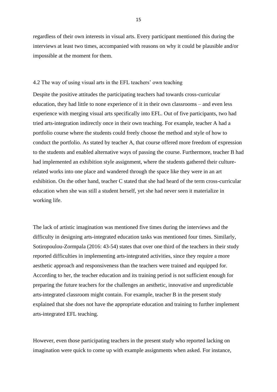regardless of their own interests in visual arts. Every participant mentioned this during the interviews at least two times, accompanied with reasons on why it could be plausible and/or impossible at the moment for them.

#### <span id="page-15-0"></span>4.2 The way of using visual arts in the EFL teachers' own teaching

Despite the positive attitudes the participating teachers had towards cross-curricular education, they had little to none experience of it in their own classrooms – and even less experience with merging visual arts specifically into EFL. Out of five participants, two had tried arts-integration indirectly once in their own teaching. For example, teacher A had a portfolio course where the students could freely choose the method and style of how to conduct the portfolio. As stated by teacher A, that course offered more freedom of expression to the students and enabled alternative ways of passing the course. Furthermore, teacher B had had implemented an exhibition style assignment, where the students gathered their culturerelated works into one place and wandered through the space like they were in an art exhibition. On the other hand, teacher C stated that she had heard of the term cross-curricular education when she was still a student herself, yet she had never seen it materialize in working life.

The lack of artistic imagination was mentioned five times during the interviews and the difficulty in designing arts-integrated education tasks was mentioned four times. Similarly, Sotiropoulou-Zormpala (2016: 43-54) states that over one third of the teachers in their study reported difficulties in implementing arts-integrated activities, since they require a more aesthetic approach and responsiveness than the teachers were trained and equipped for. According to her, the teacher education and its training period is not sufficient enough for preparing the future teachers for the challenges an aesthetic, innovative and unpredictable arts-integrated classroom might contain. For example, teacher B in the present study explained that she does not have the appropriate education and training to further implement arts-integrated EFL teaching.

However, even those participating teachers in the present study who reported lacking on imagination were quick to come up with example assignments when asked. For instance,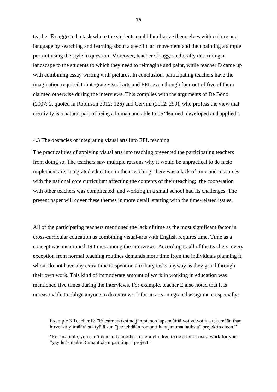teacher E suggested a task where the students could familiarize themselves with culture and language by searching and learning about a specific art movement and then painting a simple portrait using the style in question. Moreover, teacher C suggested orally describing a landscape to the students to which they need to reimagine and paint, while teacher D came up with combining essay writing with pictures. In conclusion, participating teachers have the imagination required to integrate visual arts and EFL even though four out of five of them claimed otherwise during the interviews. This complies with the arguments of De Bono (2007: 2, quoted in Robinson 2012: 126) and Cervini (2012: 299), who profess the view that creativity is a natural part of being a human and able to be "learned, developed and applied".

# <span id="page-16-0"></span>4.3 The obstacles of integrating visual arts into EFL teaching

The practicalities of applying visual arts into teaching prevented the participating teachers from doing so. The teachers saw multiple reasons why it would be unpractical to de facto implement arts-integrated education in their teaching: there was a lack of time and resources with the national core curriculum affecting the contents of their teaching; the cooperation with other teachers was complicated; and working in a small school had its challenges. The present paper will cover these themes in more detail, starting with the time-related issues.

All of the participating teachers mentioned the lack of time as the most significant factor in cross-curricular education as combining visual-arts with English requires time. Time as a concept was mentioned 19 times among the interviews. According to all of the teachers, every exception from normal teaching routines demands more time from the individuals planning it, whom do not have any extra time to spent on auxiliary tasks anyway as they grind through their own work. This kind of immoderate amount of work in working in education was mentioned five times during the interviews. For example, teacher E also noted that it is unreasonable to oblige anyone to do extra work for an arts-integrated assignment especially:

Example 3 Teacher E: "Ei esimerkiksi neljän pienen lapsen äitiä voi velvoittaa tekemään ihan hirveästi ylimääräistä työtä sun "jee tehdään romantiikanajan maalauksia" projektin eteen."

"For example, you can't demand a mother of four children to do a lot of extra work for your "yay let's make Romanticism paintings" project."

16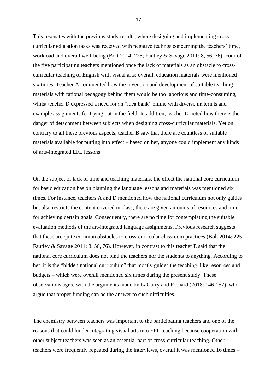This resonates with the previous study results, where designing and implementing crosscurricular education tasks was received with negative feelings concerning the teachers' time, workload and overall well-being (Bolt 2014: 225; Fautley & Savage 2011: 8, 56, 76). Four of the five participating teachers mentioned once the lack of materials as an obstacle to crosscurricular teaching of English with visual arts; overall, education materials were mentioned six times. Teacher A commented how the invention and development of suitable teaching materials with rational pedagogy behind them would be too laborious and time-consuming, whilst teacher D expressed a need for an "idea bank" online with diverse materials and example assignments for trying out in the field. In addition, teacher D noted how there is the danger of detachment between subjects when designing cross-curricular materials. Yet on contrary to all these previous aspects, teacher B saw that there are countless of suitable materials available for putting into effect – based on her, anyone could implement any kinds of arts-integrated EFL lessons.

On the subject of lack of time and teaching materials, the effect the national core curriculum for basic education has on planning the language lessons and materials was mentioned six times. For instance, teachers A and D mentioned how the national curriculum not only guides but also restricts the content covered in class; there are given amounts of resources and time for achieving certain goals. Consequently, there are no time for contemplating the suitable evaluation methods of the art-integrated language assignments. Previous research suggests that these are quite common obstacles to cross-curricular classroom practices (Bolt 2014: 225; Fautley & Savage 2011: 8, 56, 76). However, in contrast to this teacher E said that the national core curriculum does not bind the teachers nor the students to anything. According to her, it is the "hidden national curriculum" that mostly guides the teaching, like resources and budgets – which were overall mentioned six times during the present study. These observations agree with the arguments made by LaGarry and Richard (2018: 146-157), who argue that proper funding can be the answer to such difficulties.

The chemistry between teachers was important to the participating teachers and one of the reasons that could hinder integrating visual arts into EFL teaching because cooperation with other subject teachers was seen as an essential part of cross-curricular teaching. Other teachers were frequently repeated during the interviews, overall it was mentioned 16 times –

17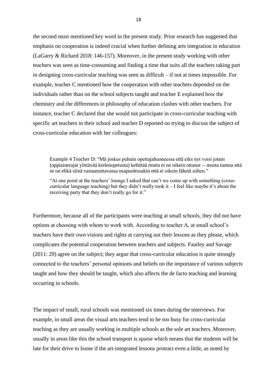the second most mentioned key word in the present study. Prior research has suggested that emphasis on cooperation is indeed crucial when further defining arts integration in education (LaGarry & Richard 2018: 146-157). Moreover, in the present study working with other teachers was seen as time-consuming and finding a time that suits all the teachers taking part in designing cross-curricular teaching was seen as difficult – if not at times impossible. For example, teacher C mentioned how the cooperation with other teachers depended on the individuals rather than on the school subjects taught and teacher E explained how the chemistry and the differences in philosophy of education clashes with other teachers. For instance, teacher C declared that she would not participate in cross-curricular teaching with specific art teachers in their school and teacher D reported on trying to discuss the subject of cross-curricular education with her colleagues:

Example 4 Teacher D: "Mä joskus puhuin opettajahuoneessa että eiks nyt voisi jotain (oppiainerajat ylittävää kielenopetusta) kehittää mutta ei ne oikein ottanut -- musta tuntuu että se on ehkä siinä vastaanottavassa osapuolessakin että ei oikein lähetä siihen."

"At one point at the teachers' lounge I asked that can't we come up with something (crosscurricular language teaching) but they didn't really took it – I feel like maybe it's about the receiving party that they don't really go for it."

Furthermore, because all of the participants were teaching at small schools, they did not have options at choosing with whom to work with. According to teacher A, at small school's teachers have their own visions and rights at carrying out their lessons as they please, which complicates the potential cooperation between teachers and subjects. Fautley and Savage (2011: 29) agree on the subject; they argue that cross-curricular education is quite strongly connected to the teachers' personal opinions and beliefs on the importance of various subjects taught and how they should be taught, which also affects the de facto teaching and learning occurring in schools.

The impact of small, rural schools was mentioned six times during the interviews. For example, in small areas the visual arts teachers tend to be too busy for cross-curricular teaching as they are usually working in multiple schools as the sole art teachers. Moreover, usually in areas like this the school transport is sparse which means that the students will be late for their drive to home if the art-integrated lessons protract even a little, as noted by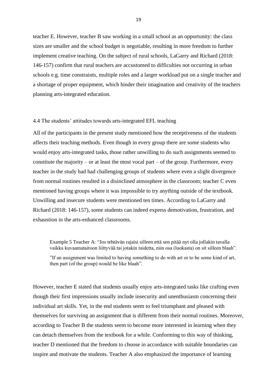teacher E. However, teacher B saw working in a small school as an opportunity: the class sizes are smaller and the school budget is negotiable, resulting in more freedom to further implement creative teaching. On the subject of rural schools, LaGarry and Richard (2018: 146-157) confirm that rural teachers are accustomed to difficulties not occurring in urban schools e.g. time constraints, multiple roles and a larger workload put on a single teacher and a shortage of proper equipment, which hinder their imagination and creativity of the teachers planning arts-integrated education.

## <span id="page-19-0"></span>4.4 The students' attitudes towards arts-integrated EFL teaching

All of the participants in the present study mentioned how the receptiveness of the students affects their teaching methods. Even though in every group there are some students who would enjoy arts-integrated tasks, those rather unwilling to do such assignments seemed to constitute the majority – or at least the most vocal part – of the group. Furthermore, every teacher in the study had had challenging groups of students where even a slight divergence from normal routines resulted in a disinclined atmosphere in the classroom; teacher C even mentioned having groups where it was impossible to try anything outside of the textbook. Unwilling and insecure students were mentioned ten times. According to LaGarry and Richard (2018: 146-157), some students can indeed express demotivation, frustration, and exhaustion in the arts-enhanced classrooms.

Example 5 Teacher A: "Jos tehtävän rajaisi silleen että sen pitää nyt olla jollakin tavalla vaikka kuvaamataitoon liittyvää tai jotakin taidetta, niin osa (luokasta) on sit silleen blaah".

"If an assignment was limited to having something to do with art or to be some kind of art, then part (of the group) would be like blaah".

However, teacher E stated that students usually enjoy arts-integrated tasks like crafting even though their first impressions usually include insecurity and unenthusiasm concerning their individual art skills. Yet, in the end students seem to feel triumphant and pleased with themselves for surviving an assignment that is different from their normal routines. Moreover, according to Teacher B the students seem to become more interested in learning when they can detach themselves from the textbook for a while. Conforming to this way of thinking, teacher D mentioned that the freedom to choose in accordance with suitable boundaries can inspire and motivate the students. Teacher A also emphasized the importance of learning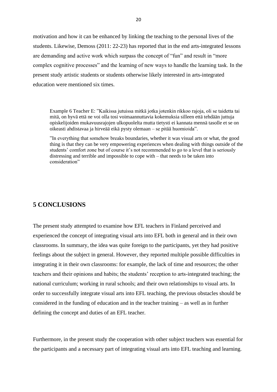motivation and how it can be enhanced by linking the teaching to the personal lives of the students. Likewise, Demoss (2011: 22-23) has reported that in the end arts-integrated lessons are demanding and active work which surpass the concept of "fun" and result in "more complex cognitive processes" and the learning of new ways to handle the learning task. In the present study artistic students or students otherwise likely interested in arts-integrated education were mentioned six times.

Example 6 Teacher E: "Kaikissa jutuissa mitkä jotka jotenkin rikkoo rajoja, oli se taidetta tai mitä, on hyvä että ne voi olla tosi voimaannuttavia kokemuksia silleen että tehdään juttuja opiskelijoiden mukavuusrajojen ulkopuolelta mutta tietysti ei kannata mennä tasolle et se on oikeasti ahdistavaa ja hirveää eikä pysty olemaan – se pitää huomioida".

"In everything that somehow breaks boundaries, whether it was visual arts or what, the good thing is that they can be very empowering experiences when dealing with things outside of the students' comfort zone but of course it's not recommended to go to a level that is seriously distressing and terrible and impossible to cope with – that needs to be taken into consideration"

# <span id="page-20-0"></span>**5 CONCLUSIONS**

The present study attempted to examine how EFL teachers in Finland perceived and experienced the concept of integrating visual arts into EFL both in general and in their own classrooms. In summary, the idea was quite foreign to the participants, yet they had positive feelings about the subject in general. However, they reported multiple possible difficulties in integrating it in their own classrooms: for example, the lack of time and resources; the other teachers and their opinions and habits; the students' reception to arts-integrated teaching; the national curriculum; working in rural schools; and their own relationships to visual arts. In order to successfully integrate visual arts into EFL teaching, the previous obstacles should be considered in the funding of education and in the teacher training – as well as in further defining the concept and duties of an EFL teacher.

Furthermore, in the present study the cooperation with other subject teachers was essential for the participants and a necessary part of integrating visual arts into EFL teaching and learning.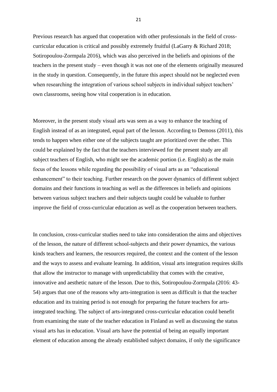Previous research has argued that cooperation with other professionals in the field of crosscurricular education is critical and possibly extremely fruitful (LaGarry & Richard 2018; Sotiropoulou-Zormpala 2016), which was also perceived in the beliefs and opinions of the teachers in the present study – even though it was not one of the elements originally measured in the study in question. Consequently, in the future this aspect should not be neglected even when researching the integration of various school subjects in individual subject teachers' own classrooms, seeing how vital cooperation is in education.

Moreover, in the present study visual arts was seen as a way to enhance the teaching of English instead of as an integrated, equal part of the lesson. According to Demoss (2011), this tends to happen when either one of the subjects taught are prioritized over the other. This could be explained by the fact that the teachers interviewed for the present study are all subject teachers of English, who might see the academic portion (i.e. English) as the main focus of the lessons while regarding the possibility of visual arts as an "educational enhancement" to their teaching. Further research on the power dynamics of different subject domains and their functions in teaching as well as the differences in beliefs and opinions between various subject teachers and their subjects taught could be valuable to further improve the field of cross-curricular education as well as the cooperation between teachers.

In conclusion, cross-curricular studies need to take into consideration the aims and objectives of the lesson, the nature of different school-subjects and their power dynamics, the various kinds teachers and learners, the resources required, the context and the content of the lesson and the ways to assess and evaluate learning. In addition, visual arts integration requires skills that allow the instructor to manage with unpredictability that comes with the creative, innovative and aesthetic nature of the lesson. Due to this, Sotiropoulou-Zormpala (2016: 43- 54) argues that one of the reasons why arts-integration is seen as difficult is that the teacher education and its training period is not enough for preparing the future teachers for artsintegrated teaching. The subject of arts-integrated cross-curricular education could benefit from examining the state of the teacher education in Finland as well as discussing the status visual arts has in education. Visual arts have the potential of being an equally important element of education among the already established subject domains, if only the significance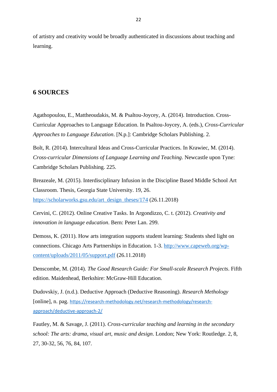of artistry and creativity would be broadly authenticated in discussions about teaching and learning.

# <span id="page-22-0"></span>**6 SOURCES**

Agathopoulou, E., Mattheoudakis, M. & Psaltou-Joycey, A. (2014). Introduction. Cross-Curricular Approaches to Language Education. In Psaltou-Joycey, A. (eds.), *Cross-Curricular Approaches to Language Education*. [N.p.]: Cambridge Scholars Publishing. 2.

Bolt, R. (2014). Intercultural Ideas and Cross-Curricular Practices. In Krawiec, M. (2014). *Cross-curricular Dimensions of Language Learning and Teaching*. Newcastle upon Tyne: Cambridge Scholars Publishing. 225.

Breazeale, M. (2015). Interdisciplinary Infusion in the Discipline Based Middle School Art Classroom. Thesis, Georgia State University. 19, 26. [https://scholarworks.gsu.edu/art\\_design\\_theses/174](https://scholarworks.gsu.edu/art_design_theses/174) (26.11.2018)

Cervini, C. (2012). Online Creative Tasks. In Argondizzo, C. t. (2012). *Creativity and innovation in language education*. Bern: Peter Lan. 299.

Demoss, K. (2011). How arts integration supports student learning: Students shed light on connections. Chicago Arts Partnerships in Education. 1-3. [http://www.capeweb.org/wp](http://www.capeweb.org/wp-content/uploads/2011/05/support.pdf)[content/uploads/2011/05/support.pdf](http://www.capeweb.org/wp-content/uploads/2011/05/support.pdf) (26.11.2018)

Denscombe, M. (2014). *The Good Research Guide: For Small-scale Research Projects*. Fifth edition. Maidenhead, Berkshire: McGraw-Hill Education.

Dudovskiy, J. (n.d.). Deductive Approach (Deductive Reasoning). *Research Methology* [online], n. pag. [https://research-methodology.net/research-methodology/research](https://research-methodology.net/research-methodology/research-approach/deductive-approach-2/)[approach/deductive-approach-2/](https://research-methodology.net/research-methodology/research-approach/deductive-approach-2/)

Fautley, M. & Savage, J. (2011). *Cross-curricular teaching and learning in the secondary school: The arts: drama, visual art, music and design*. London; New York: Routledge. 2, 8, 27, 30-32, 56, 76, 84, 107.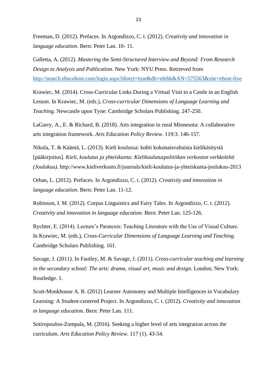Freeman, D. (2012). Prefaces. In Argondizzo, C. t. (2012). *Creativity and innovation in language education*. Bern: Peter Lan. 10- 11.

Galletta, A. (2012). *Mastering the Semi-Structured Interview and Beyond: From Research Design to Analysis and Publication.* New York: NYU Press. Retrieved from <http://search.ebscohost.com/login.aspx?direct=true&db=nlebk&AN=575563&site=ehost-live>

Krawiec, M. (2014). Cross-Curricular Links During a Virtual Visit to a Castle in an English Lesson. In Krawiec, M. (eds.), *Cross-curricular Dimensions of Language Learning and Teaching.* Newcastle upon Tyne: Cambridge Scholars Publishing. 247-250.

LaGarry, A., E. & Richard, B. (2018). Arts integration in rural Minnesota: A collaborative arts integration framework. *Arts Education Policy Review*. 119:3. 146-157.

Nikula, T. & Kääntä, L. (2013). Kieli koulussa: kohti kokonaisvaltaista kielikäsitystä [pääkirjoitus]. *Kieli, koulutus ja yhteiskunta: Kielikoulutuspolitiikan verkoston verkkolehti (Joulukuu).* http://www.kieliverkosto.fi/journals/kieli-koulutus-ja-yhteiskunta-joulukuu-2013

Orban, L. (2012). Prefaces. In Argondizzo, C. t. (2012). *Creativity and innovation in language education*. Bern: Peter Lan. 11-12.

Robinson, I. M. (2012). Corpus Linguistics and Fairy Tales. In Argondizzo, C. t. (2012). *Creativity and innovation in language education*. Bern: Peter Lan. 125-126.

Rychter, E. (2014). Lecture's Paratexts: Teaching Literature with the Use of Visual Culture. In Krawiec, M. (eds.), *Cross-Curricular Dimensions of Language Learning and Teaching*. Cambridge Scholars Publishing. 161.

Savage, J. (2011). In Fautley, M. & Savage, J. (2011). *Cross-curricular teaching and learning in the secondary school: The arts: drama, visual art, music and design*. London; New York: Routledge. 1.

Scott-Monkhouse A. R. (2012) Learner Autonomy and Multiple Intelligences in Vocabulary Learning: A Student-centered Project. In Argondizzo, C. t. (2012). *Creativity and innovation in language education*. Bern: Peter Lan. 111.

Sotiropoulou-Zompala, M. (2016). Seeking a higher level of arts integration across the curriculum. *Arts Education Policy Review*. 117 (1). 43-54.